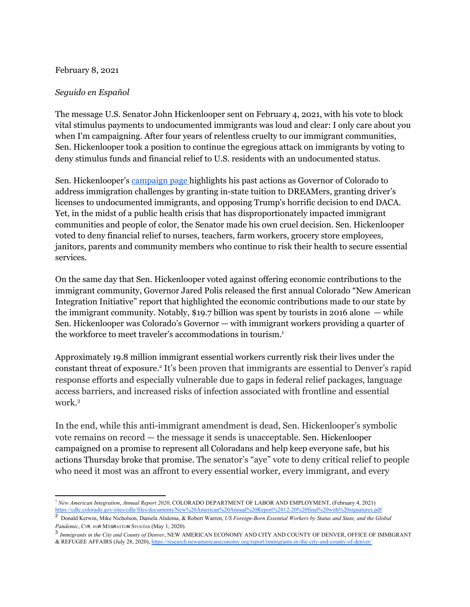## February 8, 2021

# *Seguido en Español*

The message U.S. Senator John Hickenlooper sent on February 4, 2021, with his vote to block vital stimulus payments to undocumented immigrants was loud and clear: I only care about you when I'm campaigning. After four years of relentless cruelty to our immigrant communities, Sen. Hickenlooper took a position to continue the egregious attack on immigrants by voting to deny stimulus funds and financial relief to U.S. residents with an undocumented status.

Sen. Hickenlooper's [campaign](https://hickenlooper.com/issues/immigration/) page highlights his past actions as Governor of Colorado to address immigration challenges by granting in-state tuition to DREAMers, granting driver's licenses to undocumented immigrants, and opposing Trump's horrific decision to end DACA. Yet, in the midst of a public health crisis that has disproportionately impacted immigrant communities and people of color, the Senator made his own cruel decision. Sen. Hickenlooper voted to deny financial relief to nurses, teachers, farm workers, grocery store employees, janitors, parents and community members who continue to risk their health to secure essential services.

On the same day that Sen. Hickenlooper voted against offering economic contributions to the immigrant community, Governor Jared Polis released the first annual Colorado "New American Integration Initiative" report that highlighted the economic contributions made to our state by the immigrant community. Notably, \$19.7 billion was spent by tourists in 2016 alone  $-$  while Sen. Hickenlooper was Colorado's Governor — with immigrant workers providing a quarter of the workforce to meet traveler's accommodations in tourism. 1

Approximately 19.8 million immigrant essential workers currently risk their lives under the constant threat of exposure. 2 It's been proven that immigrants are essential to Denver's rapid response efforts and especially vulnerable due to gaps in federal relief packages, language access barriers, and increased risks of infection associated with frontline and essential work. 3

In the end, while this anti-immigrant amendment is dead, Sen. Hickenlooper's symbolic vote remains on record — the message it sends is unacceptable. Sen. Hickenlooper campaigned on a promise to represent all Coloradans and help keep everyone safe, but his actions Thursday broke that promise. The senator's "aye" vote to deny critical relief to people who need it most was an affront to every essential worker, every immigrant, and every

3 *Immigrants in the City and County of Denver*, NEW AMERICAN ECONOMY AND CITY AND COUNTY OF DENVER, OFFICE OF IMMIGRANT & REFUGEE AFFAIRS (July 28, 2020),<https://research.newamericaneconomy.org/report/immigrants-in-the-city-and-county-of-denver/>

<sup>1</sup> *New American Integration*, *Annual Report 2020*, COLORADO DEPARTMENT OF LABOR AND EMPLOYMENT, (February 4, 2021) <https://cdle.colorado.gov/sites/cdle/files/documents/New%20American%20Annual%20Report%2012-20%20final%20with%20signatures.pdf>

<sup>2</sup> Donald Kerwin, Mike Nicholson, Daniela Alulema, & Robert Warren, *US Foreign-Born Essential Workers by Status and State, and the Global Pandemic*, CTR. FOR MIGRATION STUDIES (May 1, 2020).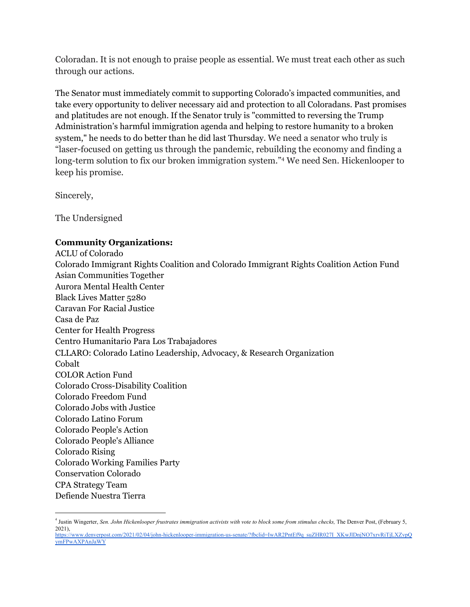Coloradan. It is not enough to praise people as essential. We must treat each other as such through our actions.

The Senator must immediately commit to supporting Colorado's impacted communities, and take every opportunity to deliver necessary aid and protection to all Coloradans. Past promises and platitudes are not enough. If the Senator truly is "committed to reversing the Trump Administration's harmful immigration agenda and helping to restore humanity to a broken system," he needs to do better than he did last Thursday. We need a senator who truly is "laser-focused on getting us through the pandemic, rebuilding the economy and finding a long-term solution to fix our broken immigration system." <sup>4</sup> We need Sen. Hickenlooper to keep his promise.

Sincerely,

The Undersigned

# **Community Organizations:**

ACLU of Colorado Colorado Immigrant Rights Coalition and Colorado Immigrant Rights Coalition Action Fund Asian Communities Together Aurora Mental Health Center Black Lives Matter 5280 Caravan For Racial Justice Casa de Paz Center for Health Progress Centro Humanitario Para Los Trabajadores CLLARO: Colorado Latino Leadership, Advocacy, & Research Organization Cobalt COLOR Action Fund Colorado Cross-Disability Coalition Colorado Freedom Fund Colorado Jobs with Justice Colorado Latino Forum Colorado People's Action Colorado People's Alliance Colorado Rising Colorado Working Families Party Conservation Colorado CPA Strategy Team Defiende Nuestra Tierra

<sup>&</sup>lt;sup>4</sup> Justin Wingerter, *Sen. John Hickenlooper frustrates immigration activists with vote to block some from stimulus checks, The Denver Post, (February 5,* 2021),

[https://www.denverpost.com/2021/02/04/john-hickenlooper-immigration-us-senate/?fbclid=IwAR2PntEf9q\\_suZHR027I\\_XKwJlDnjNO7xrvRiTjLXZvpQ](https://www.denverpost.com/2021/02/04/john-hickenlooper-immigration-us-senate/?fbclid=IwAR2PntEf9q_suZHR027I_XKwJlDnjNO7xrvRiTjLXZvpQymFPwAXPAnJaWY) [ymFPwAXPAnJaWY](https://www.denverpost.com/2021/02/04/john-hickenlooper-immigration-us-senate/?fbclid=IwAR2PntEf9q_suZHR027I_XKwJlDnjNO7xrvRiTjLXZvpQymFPwAXPAnJaWY)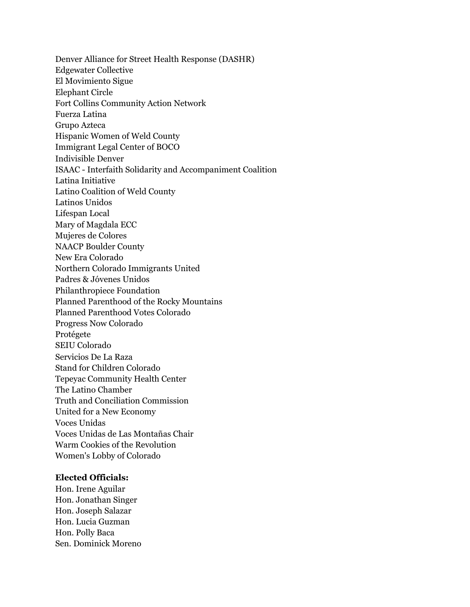Denver Alliance for Street Health Response (DASHR) Edgewater Collective El Movimiento Sigue Elephant Circle Fort Collins Community Action Network Fuerza Latina Grupo Azteca Hispanic Women of Weld County Immigrant Legal Center of BOCO Indivisible Denver ISAAC - Interfaith Solidarity and Accompaniment Coalition Latina Initiative Latino Coalition of Weld County Latinos Unidos Lifespan Local Mary of Magdala ECC Mujeres de Colores NAACP Boulder County New Era Colorado Northern Colorado Immigrants United Padres & Jóvenes Unidos Philanthropiece Foundation Planned Parenthood of the Rocky Mountains Planned Parenthood Votes Colorado Progress Now Colorado Protégete SEIU Colorado Servicios De La Raza Stand for Children Colorado Tepeyac Community Health Center The Latino Chamber Truth and Conciliation Commission United for a New Economy Voces Unidas Voces Unidas de Las Montañas Chair Warm Cookies of the Revolution Women's Lobby of Colorado

## **Elected Officials:**

Hon. Irene Aguilar Hon. Jonathan Singer Hon. Joseph Salazar Hon. Lucia Guzman Hon. Polly Baca Sen. Dominick Moreno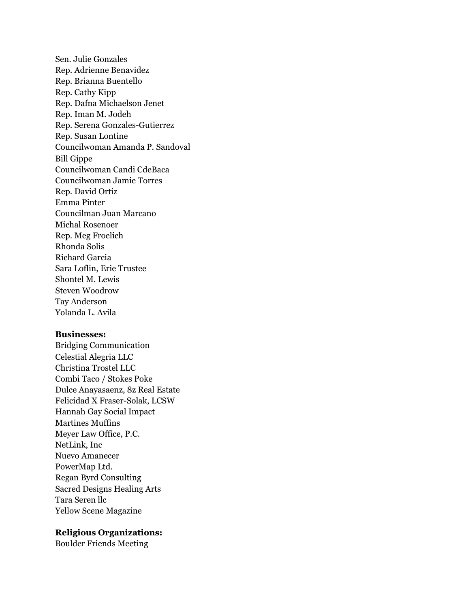Sen. Julie Gonzales Rep. Adrienne Benavidez Rep. Brianna Buentello Rep. Cathy Kipp Rep. Dafna Michaelson Jenet Rep. Iman M. Jodeh Rep. Serena Gonzales-Gutierrez Rep. Susan Lontine Councilwoman Amanda P. Sandoval Bill Gippe Councilwoman Candi CdeBaca Councilwoman Jamie Torres Rep. David Ortiz Emma Pinter Councilman Juan Marcano Michal Rosenoer Rep. Meg Froelich Rhonda Solis Richard Garcia Sara Loflin, Erie Trustee Shontel M. Lewis Steven Woodrow Tay Anderson Yolanda L. Avila

#### **Businesses:**

Bridging Communication Celestial Alegria LLC Christina Trostel LLC Combi Taco / Stokes Poke Dulce Anayasaenz, 8z Real Estate Felicidad X Fraser-Solak, LCSW Hannah Gay Social Impact Martines Muffins Meyer Law Office, P.C. NetLink, Inc Nuevo Amanecer PowerMap Ltd. Regan Byrd Consulting Sacred Designs Healing Arts Tara Seren llc Yellow Scene Magazine

## **Religious Organizations:**

Boulder Friends Meeting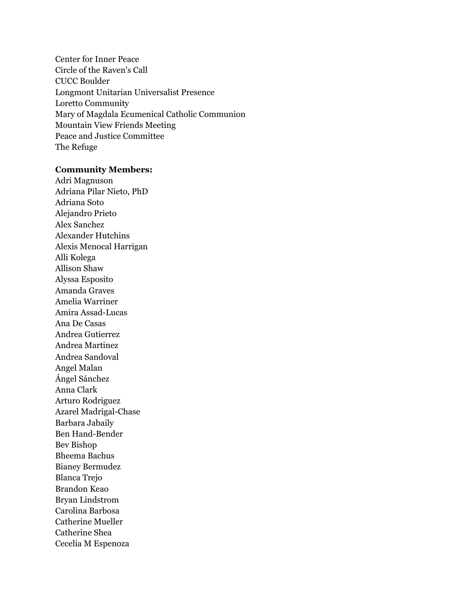Center for Inner Peace Circle of the Raven's Call CUCC Boulder Longmont Unitarian Universalist Presence Loretto Community Mary of Magdala Ecumenical Catholic Communion Mountain View Friends Meeting Peace and Justice Committee The Refuge

#### **Community Members:**

Adri Magnuson Adriana Pilar Nieto, PhD Adriana Soto Alejandro Prieto Alex Sanchez Alexander Hutchins Alexis Menocal Harrigan Alli Kolega Allison Shaw Alyssa Esposito Amanda Graves Amelia Warriner Amira Assad-Lucas Ana De Casas Andrea Gutierrez Andrea Martinez Andrea Sandoval Angel Malan Ángel Sánchez Anna Clark Arturo Rodriguez Azarel Madrigal-Chase Barbara Jabaily Ben Hand-Bender Bev Bishop Bheema Bachus Bianey Bermudez Blanca Trejo Brandon Keao Bryan Lindstrom Carolina Barbosa Catherine Mueller Catherine Shea Cecelia M Espenoza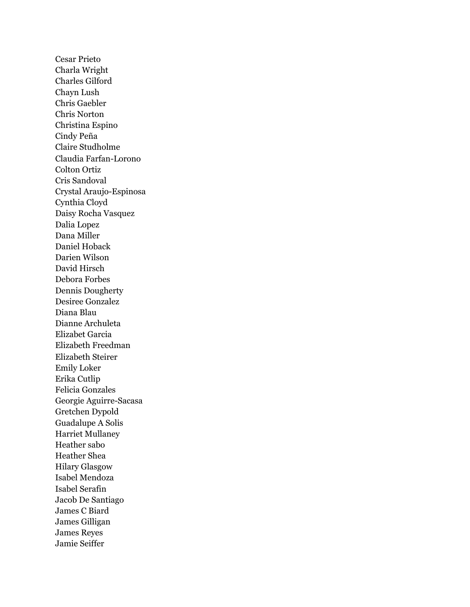Cesar Prieto Charla Wright Charles Gilford Chayn Lush Chris Gaebler Chris Norton Christina Espino Cindy Peña Claire Studholme Claudia Farfan-Lorono Colton Ortiz Cris Sandoval Crystal Araujo-Espinosa Cynthia Cloyd Daisy Rocha Vasquez Dalia Lopez Dana Miller Daniel Hoback Darien Wilson David Hirsch Debora Forbes Dennis Dougherty Desiree Gonzalez Diana Blau Dianne Archuleta Elizabet Garcia Elizabeth Freedman Elizabeth Steirer Emily Loker Erika Cutlip Felicia Gonzales Georgie Aguirre-Sacasa Gretchen Dypold Guadalupe A Solis Harriet Mullaney Heather sabo Heather Shea Hilary Glasgow Isabel Mendoza Isabel Serafin Jacob De Santiago James C Biard James Gilligan James Reyes Jamie Seiffer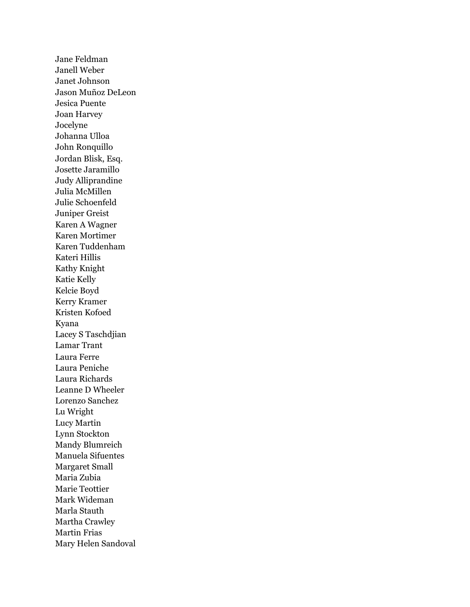Jane Feldman Janell Weber Janet Johnson Jason Muñoz DeLeon Jesica Puente Joan Harvey Jocelyne Johanna Ulloa John Ronquillo Jordan Blisk, Esq. Josette Jaramillo Judy Alliprandine Julia McMillen Julie Schoenfeld Juniper Greist Karen A Wagner Karen Mortimer Karen Tuddenham Kateri Hillis Kathy Knight Katie Kelly Kelcie Boyd Kerry Kramer Kristen Kofoed Kyana Lacey S Taschdjian Lamar Trant Laura Ferre Laura Peniche Laura Richards Leanne D Wheeler Lorenzo Sanchez Lu Wright Lucy Martin Lynn Stockton Mandy Blumreich Manuela Sifuentes Margaret Small Maria Zubia Marie Teottier Mark Wideman Marla Stauth Martha Crawley Martin Frias Mary Helen Sandoval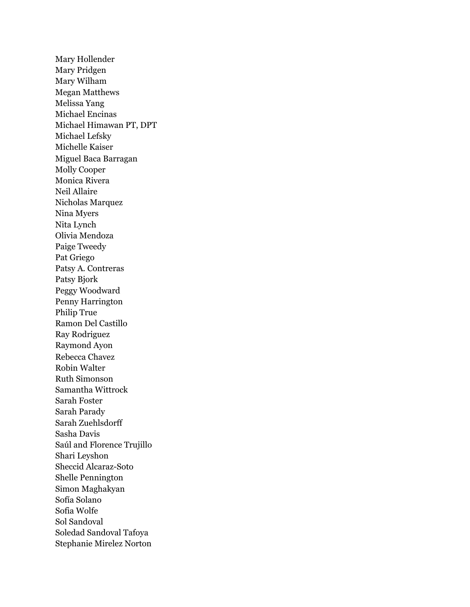Mary Hollender Mary Pridgen Mary Wilham Megan Matthews Melissa Yang Michael Encinas Michael Himawan PT, DPT Michael Lefsky Michelle Kaiser Miguel Baca Barragan Molly Cooper Monica Rivera Neil Allaire Nicholas Marquez Nina Myers Nita Lynch Olivia Mendoza Paige Tweedy Pat Griego Patsy A. Contreras Patsy Bjork Peggy Woodward Penny Harrington Philip True Ramon Del Castillo Ray Rodriguez Raymond Ayon Rebecca Chavez Robin Walter Ruth Simonson Samantha Wittrock Sarah Foster Sarah Parady Sarah Zuehlsdorff Sasha Davis Saúl and Florence Trujillo Shari Leyshon Sheccid Alcaraz-Soto Shelle Pennington Simon Maghakyan Sofía Solano Sofia Wolfe Sol Sandoval Soledad Sandoval Tafoya Stephanie Mirelez Norton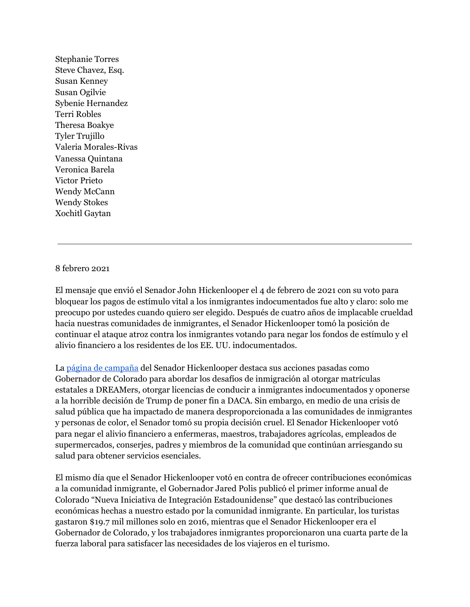Stephanie Torres Steve Chavez, Esq. Susan Kenney Susan Ogilvie Sybenie Hernandez Terri Robles Theresa Boakye Tyler Trujillo Valeria Morales-Rivas Vanessa Quintana Veronica Barela Victor Prieto Wendy McCann Wendy Stokes Xochitl Gaytan

## 8 febrero 2021

El mensaje que envió el Senador John Hickenlooper el 4 de febrero de 2021 con su voto para bloquear los pagos de estímulo vital a los inmigrantes indocumentados fue alto y claro: solo me preocupo por ustedes cuando quiero ser elegido. Después de cuatro años de implacable crueldad hacia nuestras comunidades de inmigrantes, el Senador Hickenlooper tomó la posición de continuar el ataque atroz contra los inmigrantes votando para negar los fondos de estímulo y el alivio financiero a los residentes de los EE. UU. indocumentados.

La página de [campaña](https://hickenlooper.com/issues/immigration/) del Senador Hickenlooper destaca sus acciones pasadas como Gobernador de Colorado para abordar los desafíos de inmigración al otorgar matrículas estatales a DREAMers, otorgar licencias de conducir a inmigrantes indocumentados y oponerse a la horrible decisión de Trump de poner fin a DACA. Sin embargo, en medio de una crisis de salud pública que ha impactado de manera desproporcionada a las comunidades de inmigrantes y personas de color, el Senador tomó su propia decisión cruel. El Senador Hickenlooper votó para negar el alivio financiero a enfermeras, maestros, trabajadores agrícolas, empleados de supermercados, conserjes, padres y miembros de la comunidad que continúan arriesgando su salud para obtener servicios esenciales.

El mismo día que el Senador Hickenlooper votó en contra de ofrecer contribuciones económicas a la comunidad inmigrante, el Gobernador Jared Polis publicó el primer informe anual de Colorado "Nueva Iniciativa de Integración Estadounidense" que destacó las contribuciones económicas hechas a nuestro estado por la comunidad inmigrante. En particular, los turistas gastaron \$19.7 mil millones solo en 2016, mientras que el Senador Hickenlooper era el Gobernador de Colorado, y los trabajadores inmigrantes proporcionaron una cuarta parte de la fuerza laboral para satisfacer las necesidades de los viajeros en el turismo.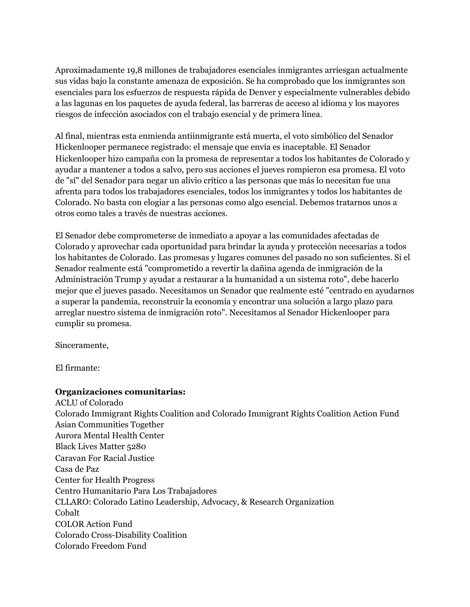Aproximadamente 19,8 millones de trabajadores esenciales inmigrantes arriesgan actualmente sus vidas bajo la constante amenaza de exposición. Se ha comprobado que los inmigrantes son esenciales para los esfuerzos de respuesta rápida de Denver y especialmente vulnerables debido a las lagunas en los paquetes de ayuda federal, las barreras de acceso al idioma y los mayores riesgos de infección asociados con el trabajo esencial y de primera línea.

Al final, mientras esta enmienda antiinmigrante está muerta, el voto simbólico del Senador Hickenlooper permanece registrado: el mensaje que envía es inaceptable. El Senador Hickenlooper hizo campaña con la promesa de representar a todos los habitantes de Colorado y ayudar a mantener a todos a salvo, pero sus acciones el jueves rompieron esa promesa. El voto de "sí" del Senador para negar un alivio crítico a las personas que más lo necesitan fue una afrenta para todos los trabajadores esenciales, todos los inmigrantes y todos los habitantes de Colorado. No basta con elogiar a las personas como algo esencial. Debemos tratarnos unos a otros como tales a través de nuestras acciones.

El Senador debe comprometerse de inmediato a apoyar a las comunidades afectadas de Colorado y aprovechar cada oportunidad para brindar la ayuda y protección necesarias a todos los habitantes de Colorado. Las promesas y lugares comunes del pasado no son suficientes. Si el Senador realmente está "comprometido a revertir la dañina agenda de inmigración de la Administración Trump y ayudar a restaurar a la humanidad a un sistema roto", debe hacerlo mejor que el jueves pasado. Necesitamos un Senador que realmente esté "centrado en ayudarnos a superar la pandemia, reconstruir la economía y encontrar una solución a largo plazo para arreglar nuestro sistema de inmigración roto". Necesitamos al Senador Hickenlooper para cumplir su promesa.

Sinceramente,

El firmante:

# **Organizaciones comunitarias:**

ACLU of Colorado Colorado Immigrant Rights Coalition and Colorado Immigrant Rights Coalition Action Fund Asian Communities Together Aurora Mental Health Center Black Lives Matter 5280 Caravan For Racial Justice Casa de Paz Center for Health Progress Centro Humanitario Para Los Trabajadores CLLARO: Colorado Latino Leadership, Advocacy, & Research Organization Cobalt COLOR Action Fund Colorado Cross-Disability Coalition Colorado Freedom Fund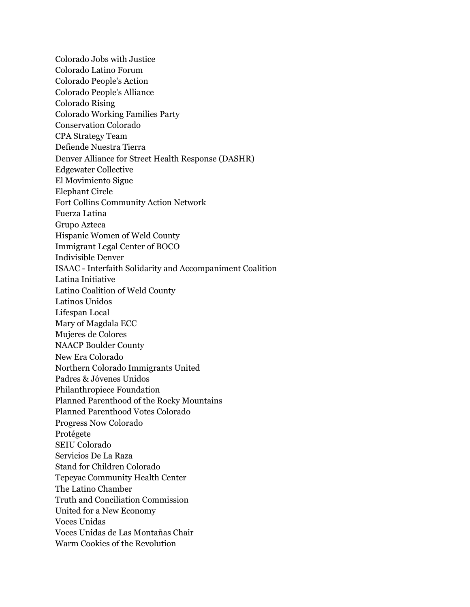Colorado Jobs with Justice Colorado Latino Forum Colorado People's Action Colorado People's Alliance Colorado Rising Colorado Working Families Party Conservation Colorado CPA Strategy Team Defiende Nuestra Tierra Denver Alliance for Street Health Response (DASHR) Edgewater Collective El Movimiento Sigue Elephant Circle Fort Collins Community Action Network Fuerza Latina Grupo Azteca Hispanic Women of Weld County Immigrant Legal Center of BOCO Indivisible Denver ISAAC - Interfaith Solidarity and Accompaniment Coalition Latina Initiative Latino Coalition of Weld County Latinos Unidos Lifespan Local Mary of Magdala ECC Mujeres de Colores NAACP Boulder County New Era Colorado Northern Colorado Immigrants United Padres & Jóvenes Unidos Philanthropiece Foundation Planned Parenthood of the Rocky Mountains Planned Parenthood Votes Colorado Progress Now Colorado Protégete SEIU Colorado Servicios De La Raza Stand for Children Colorado Tepeyac Community Health Center The Latino Chamber Truth and Conciliation Commission United for a New Economy Voces Unidas Voces Unidas de Las Montañas Chair Warm Cookies of the Revolution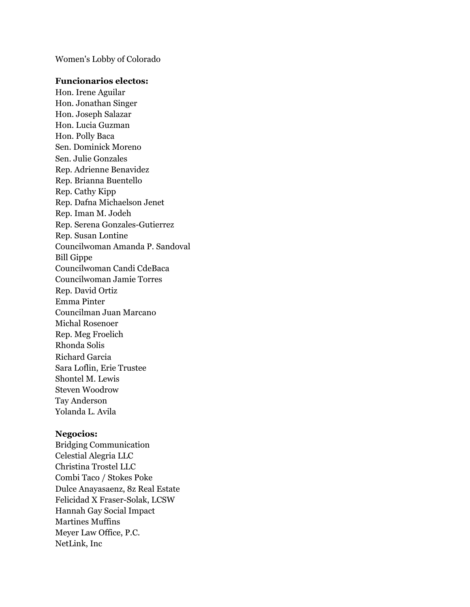Women's Lobby of Colorado

# **Funcionarios electos:**

Hon. Irene Aguilar Hon. Jonathan Singer Hon. Joseph Salazar Hon. Lucia Guzman Hon. Polly Baca Sen. Dominick Moreno Sen. Julie Gonzales Rep. Adrienne Benavidez Rep. Brianna Buentello Rep. Cathy Kipp Rep. Dafna Michaelson Jenet Rep. Iman M. Jodeh Rep. Serena Gonzales-Gutierrez Rep. Susan Lontine Councilwoman Amanda P. Sandoval Bill Gippe Councilwoman Candi CdeBaca Councilwoman Jamie Torres Rep. David Ortiz Emma Pinter Councilman Juan Marcano Michal Rosenoer Rep. Meg Froelich Rhonda Solis Richard Garcia Sara Loflin, Erie Trustee Shontel M. Lewis Steven Woodrow Tay Anderson Yolanda L. Avila

#### **Negocios:**

Bridging Communication Celestial Alegria LLC Christina Trostel LLC Combi Taco / Stokes Poke Dulce Anayasaenz, 8z Real Estate Felicidad X Fraser-Solak, LCSW Hannah Gay Social Impact Martines Muffins Meyer Law Office, P.C. NetLink, Inc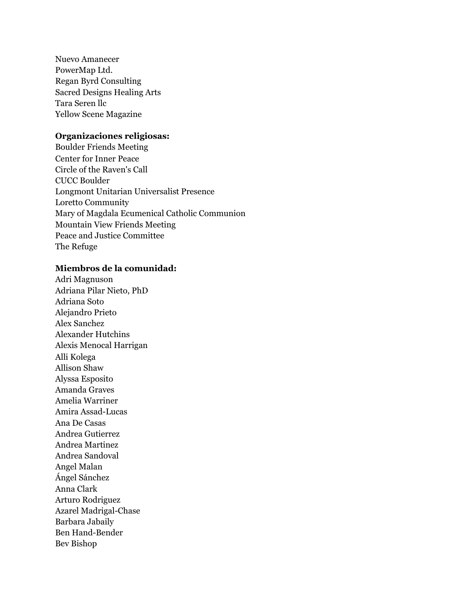Nuevo Amanecer PowerMap Ltd. Regan Byrd Consulting Sacred Designs Healing Arts Tara Seren llc Yellow Scene Magazine

## **Organizaciones religiosas:**

Boulder Friends Meeting Center for Inner Peace Circle of the Raven's Call CUCC Boulder Longmont Unitarian Universalist Presence Loretto Community Mary of Magdala Ecumenical Catholic Communion Mountain View Friends Meeting Peace and Justice Committee The Refuge

## **Miembros de la comunidad:**

Adri Magnuson Adriana Pilar Nieto, PhD Adriana Soto Alejandro Prieto Alex Sanchez Alexander Hutchins Alexis Menocal Harrigan Alli Kolega Allison Shaw Alyssa Esposito Amanda Graves Amelia Warriner Amira Assad-Lucas Ana De Casas Andrea Gutierrez Andrea Martinez Andrea Sandoval Angel Malan Ángel Sánchez Anna Clark Arturo Rodriguez Azarel Madrigal-Chase Barbara Jabaily Ben Hand-Bender Bev Bishop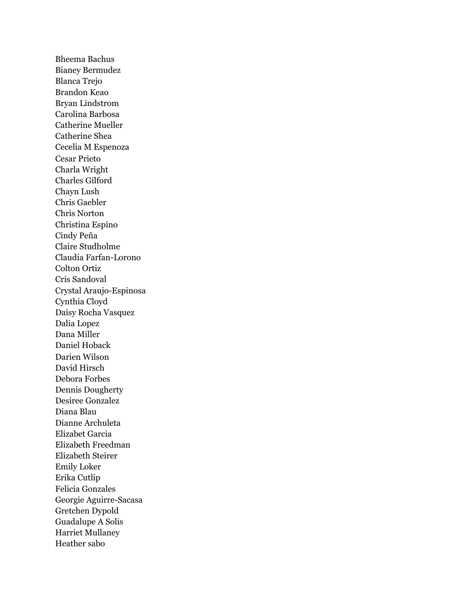Bheema Bachus Bianey Bermudez Blanca Trejo Brandon Keao Bryan Lindstrom Carolina Barbosa Catherine Mueller Catherine Shea Cecelia M Espenoza Cesar Prieto Charla Wright Charles Gilford Chayn Lush Chris Gaebler Chris Norton Christina Espino Cindy Peña Claire Studholme Claudia Farfan-Lorono Colton Ortiz Cris Sandoval Crystal Araujo-Espinosa Cynthia Cloyd Daisy Rocha Vasquez Dalia Lopez Dana Miller Daniel Hoback Darien Wilson David Hirsch Debora Forbes Dennis Dougherty Desiree Gonzalez Diana Blau Dianne Archuleta Elizabet Garcia Elizabeth Freedman Elizabeth Steirer Emily Loker Erika Cutlip Felicia Gonzales Georgie Aguirre-Sacasa Gretchen Dypold Guadalupe A Solis Harriet Mullaney Heather sabo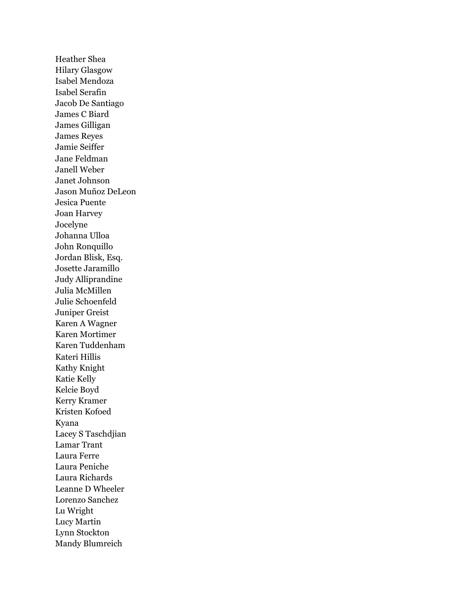Heather Shea Hilary Glasgow Isabel Mendoza Isabel Serafin Jacob De Santiago James C Biard James Gilligan James Reyes Jamie Seiffer Jane Feldman Janell Weber Janet Johnson Jason Muñoz DeLeon Jesica Puente Joan Harvey Jocelyne Johanna Ulloa John Ronquillo Jordan Blisk, Esq. Josette Jaramillo Judy Alliprandine Julia McMillen Julie Schoenfeld Juniper Greist Karen A Wagner Karen Mortimer Karen Tuddenham Kateri Hillis Kathy Knight Katie Kelly Kelcie Boyd Kerry Kramer Kristen Kofoed Kyana Lacey S Taschdjian Lamar Trant Laura Ferre Laura Peniche Laura Richards Leanne D Wheeler Lorenzo Sanchez Lu Wright Lucy Martin Lynn Stockton Mandy Blumreich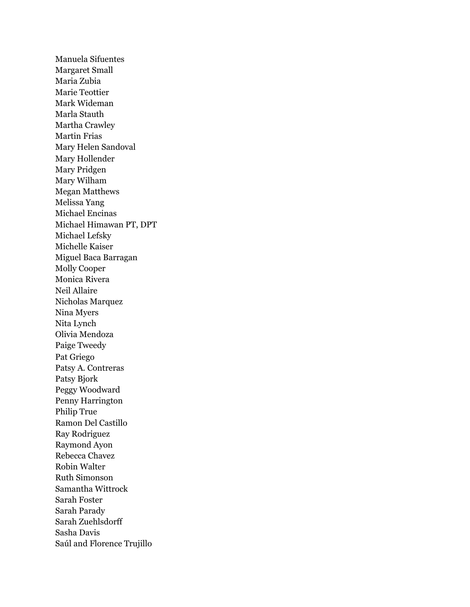Manuela Sifuentes Margaret Small Maria Zubia Marie Teottier Mark Wideman Marla Stauth Martha Crawley Martin Frias Mary Helen Sandoval Mary Hollender Mary Pridgen Mary Wilham Megan Matthews Melissa Yang Michael Encinas Michael Himawan PT, DPT Michael Lefsky Michelle Kaiser Miguel Baca Barragan Molly Cooper Monica Rivera Neil Allaire Nicholas Marquez Nina Myers Nita Lynch Olivia Mendoza Paige Tweedy Pat Griego Patsy A. Contreras Patsy Bjork Peggy Woodward Penny Harrington Philip True Ramon Del Castillo Ray Rodriguez Raymond Ayon Rebecca Chavez Robin Walter Ruth Simonson Samantha Wittrock Sarah Foster Sarah Parady Sarah Zuehlsdorff Sasha Davis Saúl and Florence Trujillo